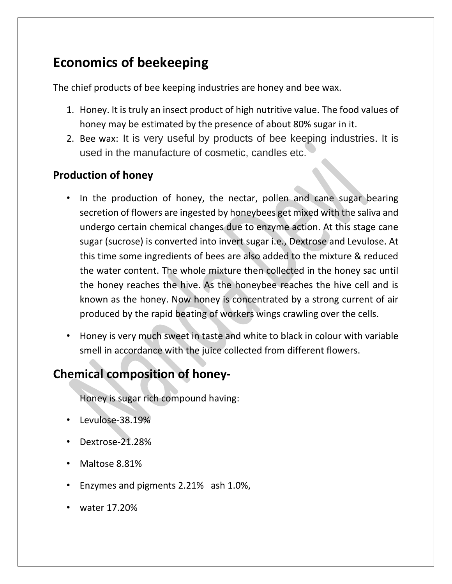## **Economics of beekeeping**

The chief products of bee keeping industries are honey and bee wax.

- 1. Honey. It is truly an insect product of high nutritive value. The food values of honey may be estimated by the presence of about 80% sugar in it.
- 2. Bee wax: It is very useful by products of bee keeping industries. It is used in the manufacture of cosmetic, candles etc.

## **Production of honey**

- In the production of honey, the nectar, pollen and cane sugar bearing secretion of flowers are ingested by honeybees get mixed with the saliva and undergo certain chemical changes due to enzyme action. At this stage cane sugar (sucrose) is converted into invert sugar i.e., Dextrose and Levulose. At this time some ingredients of bees are also added to the mixture & reduced the water content. The whole mixture then collected in the honey sac until the honey reaches the hive. As the honeybee reaches the hive cell and is known as the honey. Now honey is concentrated by a strong current of air produced by the rapid beating of workers wings crawling over the cells.
- Honey is very much sweet in taste and white to black in colour with variable smell in accordance with the juice collected from different flowers.

## **Chemical composition of honey-**

Honey is sugar rich compound having:

- Levulose-38.19%
- Dextrose-21.28%
- Maltose 8.81%
- Enzymes and pigments 2.21% ash 1.0%,
- water 17.20%